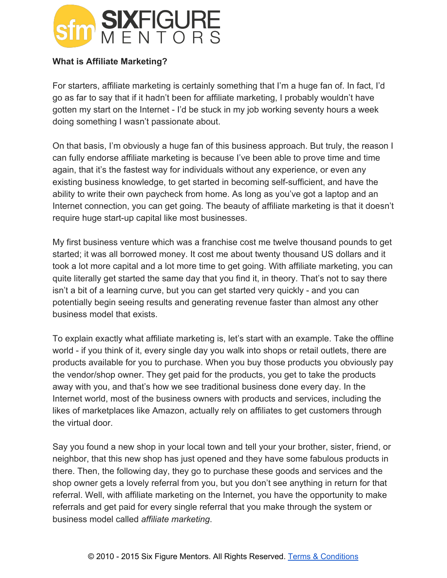

## **What is Affiliate Marketing?**

For starters, affiliate marketing is certainly something that I'm a huge fan of. In fact, I'd go as far to say that if it hadn't been for affiliate marketing, I probably wouldn't have gotten my start on the Internet - I'd be stuck in my job working seventy hours a week doing something I wasn't passionate about.

On that basis, I'm obviously a huge fan of this business approach. But truly, the reason I can fully endorse affiliate marketing is because I've been able to prove time and time again, that it's the fastest way for individuals without any experience, or even any existing business knowledge, to get started in becoming self-sufficient, and have the ability to write their own paycheck from home. As long as you've got a laptop and an Internet connection, you can get going. The beauty of affiliate marketing is that it doesn't require huge start-up capital like most businesses.

My first business venture which was a franchise cost me twelve thousand pounds to get started; it was all borrowed money. It cost me about twenty thousand US dollars and it took a lot more capital and a lot more time to get going. With affiliate marketing, you can quite literally get started the same day that you find it, in theory. That's not to say there isn't a bit of a learning curve, but you can get started very quickly - and you can potentially begin seeing results and generating revenue faster than almost any other business model that exists.

To explain exactly what affiliate marketing is, let's start with an example. Take the offline world - if you think of it, every single day you walk into shops or retail outlets, there are products available for you to purchase. When you buy those products you obviously pay the vendor/shop owner. They get paid for the products, you get to take the products away with you, and that's how we see traditional business done every day. In the Internet world, most of the business owners with products and services, including the likes of marketplaces like Amazon, actually rely on affiliates to get customers through the virtual door.

Say you found a new shop in your local town and tell your your brother, sister, friend, or neighbor, that this new shop has just opened and they have some fabulous products in there. Then, the following day, they go to purchase these goods and services and the shop owner gets a lovely referral from you, but you don't see anything in return for that referral. Well, with affiliate marketing on the Internet, you have the opportunity to make referrals and get paid for every single referral that you make through the system or business model called *affiliate marketing*.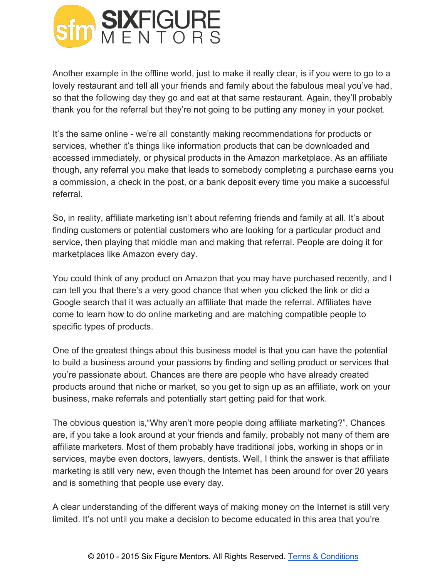

Another example in the offline world, just to make it really clear, is if you were to go to a lovely restaurant and tell all your friends and family about the fabulous meal you've had, so that the following day they go and eat at that same restaurant. Again, they'll probably thank you for the referral but they're not going to be putting any money in your pocket.

It's the same online - we're all constantly making recommendations for products or services, whether it's things like information products that can be downloaded and accessed immediately, or physical products in the Amazon marketplace. As an affiliate though, any referral you make that leads to somebody completing a purchase earns you a commission, a check in the post, or a bank deposit every time you make a successful referral.

So, in reality, affiliate marketing isn't about referring friends and family at all. It's about finding customers or potential customers who are looking for a particular product and service, then playing that middle man and making that referral. People are doing it for marketplaces like Amazon every day.

You could think of any product on Amazon that you may have purchased recently, and I can tell you that there's a very good chance that when you clicked the link or did a Google search that it was actually an affiliate that made the referral. Affiliates have come to learn how to do online marketing and are matching compatible people to specific types of products.

One of the greatest things about this business model is that you can have the potential to build a business around your passions by finding and selling product or services that you're passionate about. Chances are there are people who have already created products around that niche or market, so you get to sign up as an affiliate, work on your business, make referrals and potentially start getting paid for that work.

The obvious question is,"Why aren't more people doing affiliate marketing?". Chances are, if you take a look around at your friends and family, probably not many of them are affiliate marketers. Most of them probably have traditional jobs, working in shops or in services, maybe even doctors, lawyers, dentists. Well, I think the answer is that affiliate marketing is still very new, even though the Internet has been around for over 20 years and is something that people use every day.

A clear understanding of the different ways of making money on the Internet is still very limited. It's not until you make a decision to become educated in this area that you're